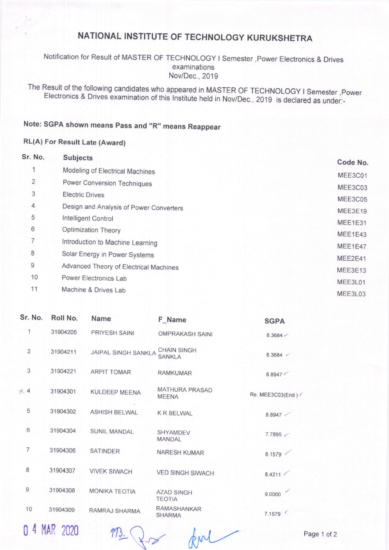## NATIONAL INSTITUTE OF TECHNOLOGY KURUKSHETRA

Notification for Result of MASTER OF TECHNOLOGY I Semester ,Power Electronics & Drives examinations Nov/Dec.,2019

The Result of the following candidates who appeared in MASTER OF TECHNOLOGY I Semester ,Power<br>Electronics & Drives examination of this Institute held in Nov/Dec., 2019 is declared as under:-

## Note: SGPA shown means Pass and "R" means Reappear

## RL(A) For Result Late (Award)

| Sr. No.        | <b>Subjects</b>                         | Code No.           |
|----------------|-----------------------------------------|--------------------|
| 4              | Modeling of Electrical Machines         |                    |
| $\overline{2}$ | Power Conversion Techniques             | MEE3C01            |
| 3              | <b>Electric Drives</b>                  | MEE3C03<br>MEE3C05 |
| 4              | Design and Analysis of Power Converters | MEE3E19            |
| 5              | Intelligent Control                     | MEE1E31            |
| 6              | Optimization Theory                     | MEE1E43            |
| 7              | Introduction to Machine Learning        | MEE1E47            |
| 8              | Solar Energy in Power Systems           | MEE2E41            |
| $\mathsf{9}$   | Advanced Theory of Electrical Machines  | MEE3E13            |
| 10             | Power Electronics Lab                   | MEE3L01            |
| 11             | Machine & Drives Lab                    | MEE3L03            |

| Sr. No.        | Roll No. | Name                 | F Name                                | <b>SGPA</b>      |
|----------------|----------|----------------------|---------------------------------------|------------------|
| 1              | 31904205 | PRIYESH SAINI        | <b>OMPRAKASH SAINI</b>                | 8.3684           |
| $\overline{2}$ | 31904211 | JAIPAL SINGH SANKLA  | <b>CHAIN SINGH</b><br><b>SANKLA</b>   | 8.3684           |
| 3              | 31904221 | <b>ARPIT TOMAR</b>   | <b>RAMKUMAR</b>                       | 8.8947           |
| $\times$ 4     | 31904301 | <b>KULDEEP MEENA</b> | <b>MATHURA PRASAD</b><br><b>MEENA</b> | Re. MEE3C03(End) |
| 5              | 31904302 | <b>ASHISH BELWAL</b> | <b>KRBELWAL</b>                       | 8.8947           |
| 6              | 31904304 | SUNIL MANDAL         | <b>SHYAMDEV</b><br><b>MANDAL</b>      | 7.7895           |
| $\overline{7}$ | 31904306 | SATINDER             | <b>NARESH KUMAR</b>                   | 8.1579           |
| 8              | 31904307 | <b>VIVEK SIWACH</b>  | <b>VED SINGH SIWACH</b>               | 8.4211           |
| 9              | 31904308 | <b>MONIKA TEOTIA</b> | <b>AZAD SINGH</b><br><b>TEOTIA</b>    | 9.0000           |
| 10             | 31904309 | RAMRAJ SHARMA        | <b>RAMASHANKAR</b><br><b>SHARMA</b>   | 7.1579           |

0 4 MAR 2020

 $RML$  Page 1 of 2